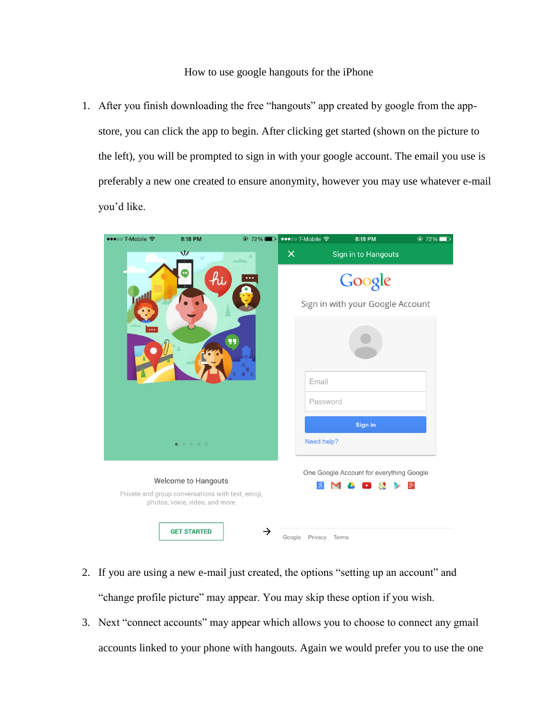## How to use google hangouts for the iPhone

1. After you finish downloading the free "hangouts" app created by google from the appstore, you can click the app to begin. After clicking get started (shown on the picture to the left), you will be prompted to sign in with your google account. The email you use is preferably a new one created to ensure anonymity, however you may use whatever e-mail you'd like.



- 2. If you are using a new e-mail just created, the options "setting up an account" and "change profile picture" may appear. You may skip these option if you wish.
- 3. Next "connect accounts" may appear which allows you to choose to connect any gmail accounts linked to your phone with hangouts. Again we would prefer you to use the one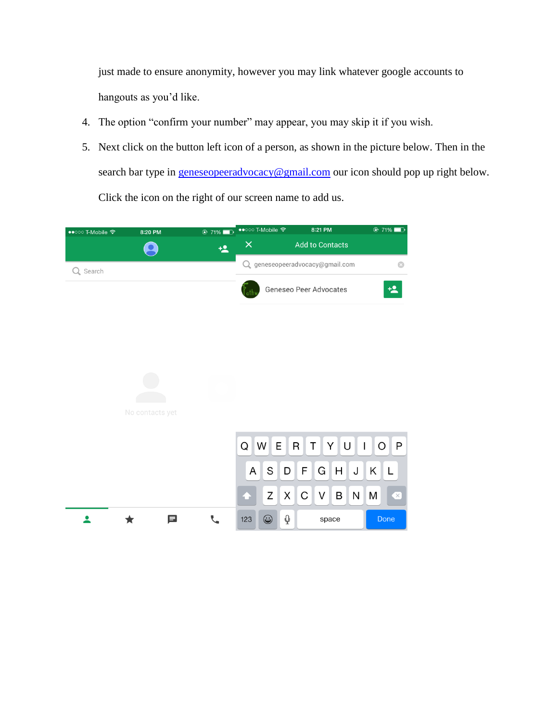just made to ensure anonymity, however you may link whatever google accounts to hangouts as you'd like.

- 4. The option "confirm your number" may appear, you may skip it if you wish.
- 5. Next click on the button left icon of a person, as shown in the picture below. Then in the search bar type in [geneseopeeradvocacy@gmail.com](mailto:geneseopeeradvocacy@gmail.com) our icon should pop up right below. Click the icon on the right of our screen name to add us.

| ••○○○ T-Mobile 令 | 8:20 PM         | $\odot$ 71%  | ••○○○ T-Mobile 〒              |   |          | 8:21 PM                                            |        |              |   | $\odot$ 71%     |           |  |
|------------------|-----------------|--------------|-------------------------------|---|----------|----------------------------------------------------|--------|--------------|---|-----------------|-----------|--|
|                  |                 | $\ddagger$ 2 | $\times$                      |   |          | <b>Add to Contacts</b>                             |        |              |   |                 |           |  |
| Q Search         |                 |              |                               |   |          | Q geneseopeeradvocacy@gmail.com                    |        |              |   |                 | $\odot$   |  |
|                  |                 |              | <b>Geneseo Peer Advocates</b> |   |          |                                                    |        |              |   |                 | 塭         |  |
|                  |                 |              |                               |   |          |                                                    |        |              |   |                 |           |  |
|                  |                 |              |                               |   |          |                                                    |        |              |   |                 |           |  |
|                  |                 |              |                               |   |          |                                                    |        |              |   |                 |           |  |
|                  | No contacts yet |              |                               |   |          |                                                    |        |              |   |                 |           |  |
|                  |                 |              | Q                             | W | E        | R<br>YU<br>P<br>T<br>O<br>$\overline{\phantom{a}}$ |        |              |   |                 |           |  |
|                  |                 |              | A                             | S | D        | F                                                  | G      | H            | J | $K_{\parallel}$ | L         |  |
|                  |                 |              |                               | Z | $\times$ | $\mathsf C$                                        | $\vee$ | $\mathsf{B}$ | N | M               | $\propto$ |  |
|                  | 曰               |              | 123                           | ٣ | Q        | space                                              |        |              |   | Done            |           |  |